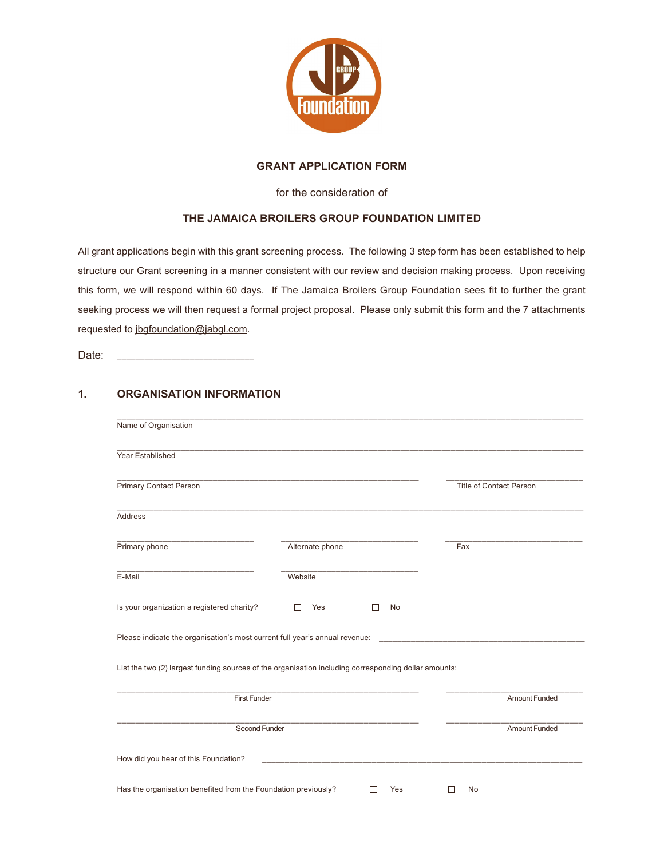

### **GRANT APPLICATION FORM**

for the consideration of

## **THE JAMAICA BROILERS GROUP FOUNDATION LIMITED**

All grant applications begin with this grant screening process. The following 3 step form has been established to help structure our Grant screening in a manner consistent with our review and decision making process. Upon receiving this form, we will respond within 60 days. If The Jamaica Broilers Group Foundation sees fit to further the grant seeking process we will then request a formal project proposal. Please only submit this form and the 7 attachments requested to jbgfoundation@jabgl.com.

Date:

# **1. ORGANISATION INFORMATION**

| Year Established                                                            |                                                                                                      |                         |
|-----------------------------------------------------------------------------|------------------------------------------------------------------------------------------------------|-------------------------|
| <b>Primary Contact Person</b>                                               |                                                                                                      | Title of Contact Person |
| <b>Address</b>                                                              |                                                                                                      |                         |
| Primary phone                                                               | Alternate phone                                                                                      | Fax                     |
| E-Mail                                                                      | Website                                                                                              |                         |
| Is your organization a registered charity?                                  | Yes<br>No<br>П                                                                                       |                         |
| Please indicate the organisation's most current full year's annual revenue: |                                                                                                      |                         |
|                                                                             | List the two (2) largest funding sources of the organisation including corresponding dollar amounts: |                         |
| <b>First Funder</b>                                                         |                                                                                                      | <b>Amount Funded</b>    |
| Second Funder                                                               |                                                                                                      | <b>Amount Funded</b>    |
| How did you hear of this Foundation?                                        |                                                                                                      |                         |